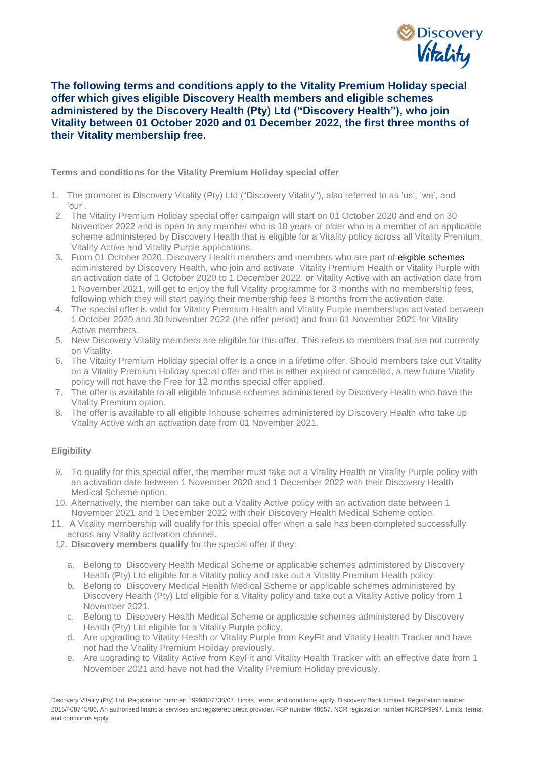

## **The following terms and conditions apply to the Vitality Premium Holiday special offer which gives eligible Discovery Health members and eligible schemes administered by the Discovery Health (Pty) Ltd ("Discovery Health"), who join Vitality between 01 October 2020 and 01 December 2022, the first three months of their Vitality membership free.**

## **Terms and conditions for the Vitality Premium Holiday special offer**

- 1. The promoter is Discovery Vitality (Pty) Ltd ("Discovery Vitality"), also referred to as 'us', 'we', and 'our'.
- 2. The Vitality Premium Holiday special offer campaign will start on 01 October 2020 and end on 30 November 2022 and is open to any member who is 18 years or older who is a member of an applicable scheme administered by Discovery Health that is eligible for a Vitality policy across all Vitality Premium, Vitality Active and Vitality Purple applications.
- 3. From 01 October 2020, Discovery Health members and members who are part of *eligible schemes* administered by Discovery Health, who join and activate Vitality Premium Health or Vitality Purple with an activation date of 1 October 2020 to 1 December 2022, or Vitality Active with an activation date from 1 November 2021, will get to enjoy the full Vitality programme for 3 months with no membership fees, following which they will start paying their membership fees 3 months from the activation date.
- 4. The special offer is valid for Vitality Premium Health and Vitality Purple memberships activated between 1 October 2020 and 30 November 2022 (the offer period) and from 01 November 2021 for Vitality Active members.
- 5. New Discovery Vitality members are eligible for this offer. This refers to members that are not currently on Vitality.
- 6. The Vitality Premium Holiday special offer is a once in a lifetime offer. Should members take out Vitality on a Vitality Premium Holiday special offer and this is either expired or cancelled, a new future Vitality policy will not have the Free for 12 months special offer applied.
- 7. The offer is available to all eligible Inhouse schemes administered by Discovery Health who have the Vitality Premium option.
- 8. The offer is available to all eligible Inhouse schemes administered by Discovery Health who take up Vitality Active with an activation date from 01 November 2021.

## **Eligibility**

- 9. To qualify for this special offer, the member must take out a Vitality Health or Vitality Purple policy with an activation date between 1 November 2020 and 1 December 2022 with their Discovery Health Medical Scheme option.
- 10. Alternatively, the member can take out a Vitality Active policy with an activation date between 1 November 2021 and 1 December 2022 with their Discovery Health Medical Scheme option.
- 11. A Vitality membership will qualify for this special offer when a sale has been completed successfully across any Vitality activation channel.
- 12. **Discovery members qualify** for the special offer if they:
	- a. Belong to Discovery Health Medical Scheme or applicable schemes administered by Discovery Health (Pty) Ltd eligible for a Vitality policy and take out a Vitality Premium Health policy.
	- b. Belong to Discovery Medical Health Medical Scheme or applicable schemes administered by Discovery Health (Pty) Ltd eligible for a Vitality policy and take out a Vitality Active policy from 1 November 2021.
	- c. Belong to Discovery Health Medical Scheme or applicable schemes administered by Discovery Health (Pty) Ltd eligible for a Vitality Purple policy.
	- d. Are upgrading to Vitality Health or Vitality Purple from KeyFit and Vitality Health Tracker and have not had the Vitality Premium Holiday previously.
	- e. Are upgrading to Vitality Active from KeyFit and Vitality Health Tracker with an effective date from 1 November 2021 and have not had the Vitality Premium Holiday previously.

Discovery Vitality (Pty) Ltd. Registration number: 1999/007736/07. Limits, terms, and conditions apply. Discovery Bank Limited. Registration number 2015/408745/06. An authorised financial services and registered credit provider. FSP number 48657. NCR registration number NCRCP9997. Limits, terms, and conditions apply.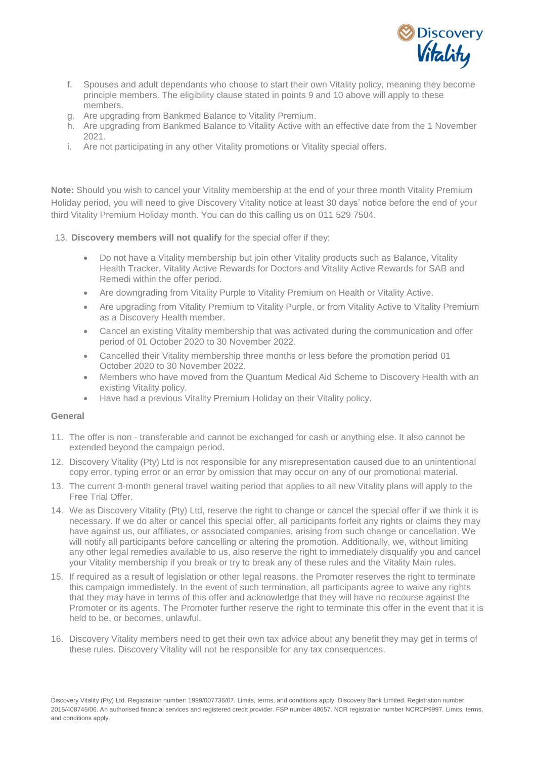

- f. Spouses and adult dependants who choose to start their own Vitality policy, meaning they become principle members. The eligibility clause stated in points 9 and 10 above will apply to these members.
- g. Are upgrading from Bankmed Balance to Vitality Premium.
- h. Are upgrading from Bankmed Balance to Vitality Active with an effective date from the 1 November 2021.
- i. Are not participating in any other Vitality promotions or Vitality special offers.

**Note:** Should you wish to cancel your Vitality membership at the end of your three month Vitality Premium Holiday period, you will need to give Discovery Vitality notice at least 30 days' notice before the end of your third Vitality Premium Holiday month. You can do this calling us on 011 529 7504.

- 13. **Discovery members will not qualify** for the special offer if they:
	- Do not have a Vitality membership but join other Vitality products such as Balance, Vitality Health Tracker, Vitality Active Rewards for Doctors and Vitality Active Rewards for SAB and Remedi within the offer period.
	- Are downgrading from Vitality Purple to Vitality Premium on Health or Vitality Active.
	- Are upgrading from Vitality Premium to Vitality Purple, or from Vitality Active to Vitality Premium as a Discovery Health member.
	- Cancel an existing Vitality membership that was activated during the communication and offer period of 01 October 2020 to 30 November 2022.
	- Cancelled their Vitality membership three months or less before the promotion period 01 October 2020 to 30 November 2022.
	- Members who have moved from the Quantum Medical Aid Scheme to Discovery Health with an existing Vitality policy.
	- Have had a previous Vitality Premium Holiday on their Vitality policy.

## **General**

- 11. The offer is non transferable and cannot be exchanged for cash or anything else. It also cannot be extended beyond the campaign period.
- 12. Discovery Vitality (Pty) Ltd is not responsible for any misrepresentation caused due to an unintentional copy error, typing error or an error by omission that may occur on any of our promotional material.
- 13. The current 3-month general travel waiting period that applies to all new Vitality plans will apply to the Free Trial Offer.
- 14. We as Discovery Vitality (Pty) Ltd, reserve the right to change or cancel the special offer if we think it is necessary. If we do alter or cancel this special offer, all participants forfeit any rights or claims they may have against us, our affiliates, or associated companies, arising from such change or cancellation. We will notify all participants before cancelling or altering the promotion. Additionally, we, without limiting any other legal remedies available to us, also reserve the right to immediately disqualify you and cancel your Vitality membership if you break or try to break any of these rules and the Vitality Main rules.
- 15. If required as a result of legislation or other legal reasons, the Promoter reserves the right to terminate this campaign immediately. In the event of such termination, all participants agree to waive any rights that they may have in terms of this offer and acknowledge that they will have no recourse against the Promoter or its agents. The Promoter further reserve the right to terminate this offer in the event that it is held to be, or becomes, unlawful.
- 16. Discovery Vitality members need to get their own tax advice about any benefit they may get in terms of these rules. Discovery Vitality will not be responsible for any tax consequences.

Discovery Vitality (Pty) Ltd. Registration number: 1999/007736/07. Limits, terms, and conditions apply. Discovery Bank Limited. Registration number 2015/408745/06. An authorised financial services and registered credit provider. FSP number 48657. NCR registration number NCRCP9997. Limits, terms, and conditions apply.